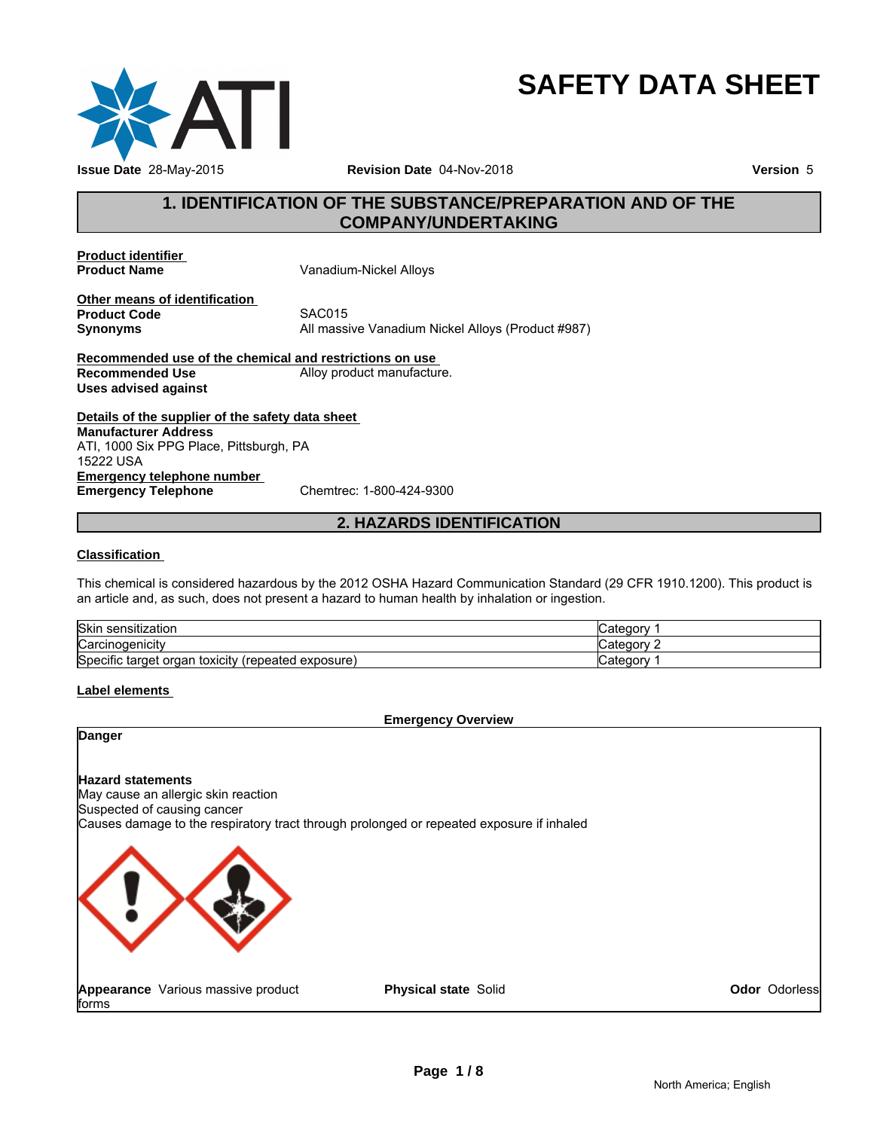

# **SAFETY DATA SHEET**

# **1. IDENTIFICATION OF THE SUBSTANCE/PREPARATION AND OF THE<br>
THE SUBSTANCE/PREPARATION AND OF THE<br>
COMPANY/UNDERTAKING COMPANY/UNDERTAKING**

**Product identifier** 

**Vanadium-Nickel Alloys** 

**Other means of identification Product Code**<br>Synonyms

**Synonyms** All massive Vanadium Nickel Alloys (Product #987) 15<br>**2. Handman School Additionary 12. Hazard Conduct #987)**<br>**2. HAZARDS IDENTIFICATION<br>2. HAZARDS IDENTIFICATION**<br>2012 OSHA Hazard Communication Standard (29 CFR 1910.1200). This pro

**Recommended use of the chemical and restrictions on use Recommended Use Alloy product manufacture. Uses advised against**

**Details of the supplier of the safety data sheet Emergency telephone number**<br> **Emergency Telephone**<br>
Chemtrec: 1-800-424-9300 **Emergency Telephone Manufacturer Address** ATI, 1000 Six PPG Place, Pittsburgh, PA 15222 USA

#### **Classification**

This chemical is considered hazardous by the 2012 OSHA Hazard Communication Standard (29 CFR 1910.1200). This product is an article and, as such, does not present a hazard to human health by inhalation or ingestion.

| <b>Skir</b><br>sensitization                                                  |                                |
|-------------------------------------------------------------------------------|--------------------------------|
| Caroir<br>a iodenicity.<br>Nai                                                | $\sim$ $\sim$ $\sim$           |
| <b>Specific target</b><br>toxicity<br>exposure)<br>organ<br><i>(repeated)</i> | $\sim$ $\sim$ $\sim$<br>valeuv |

#### **Label elements**

#### **Emergency Overview**

#### **Danger**

#### **Hazard statements**

May cause an allergic skin reaction Suspected of causing cancer Causes damage to the respiratory tract through prolonged or repeated exposure if inhaled



**Appearance** Various massive product forms

**Physical state** Solid

**Odor** Odorless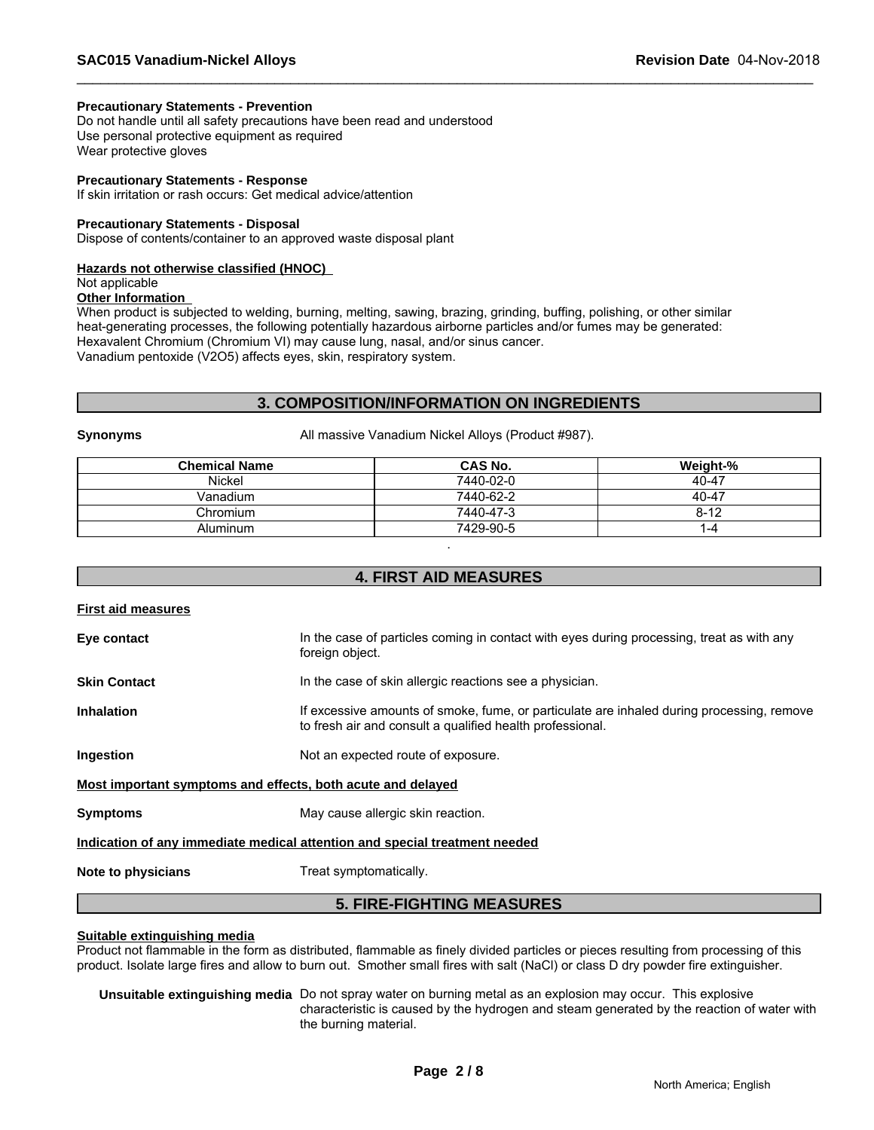#### **Precautionary Statements - Prevention**

Do not handle until all safety precautions have been read and understood Use personal protective equipment as required Wear protective gloves

#### **Precautionary Statements - Response**

If skin irritation or rash occurs: Get medical advice/attention

#### **Precautionary Statements - Disposal**

Dispose of contents/container to an approved waste disposal plant

#### **Hazards not otherwise classified (HNOC)**

Not applicable

#### **Other Information**

When product is subjected to welding, burning, melting, sawing, brazing, grinding, buffing, polishing, or other similar heat-generating processes, the following potentially hazardous airborne particles and/or fumes may be generated: Hexavalent Chromium (Chromium VI) may cause lung, nasal, and/or sinus cancer. Vanadium pentoxide (V2O5) affects eyes, skin, respiratory system.

#### **3. COMPOSITION/INFORMATION ON INGREDIENTS**

**Synonyms** All massive Vanadium Nickel Alloys (Product #987).

| <b>Chemical Name</b> | <b>CAS No.</b> | Weight-% |
|----------------------|----------------|----------|
| Nickel               | 7440-02-0      | 40-47    |
| √anadium             | 7440-62-2      | 40-47    |
| Chromium             | 7440-47-3      | 8-12     |
| Aluminum             | 7429-90-5      | 1-4      |

#### **4. FIRST AID MEASURES**

.

| <b>First aid measures</b> |  |
|---------------------------|--|
|                           |  |

| Eye contact                                                                | In the case of particles coming in contact with eyes during processing, treat as with any<br>foreign object.                                           |  |  |
|----------------------------------------------------------------------------|--------------------------------------------------------------------------------------------------------------------------------------------------------|--|--|
| <b>Skin Contact</b>                                                        | In the case of skin allergic reactions see a physician.                                                                                                |  |  |
| <b>Inhalation</b>                                                          | If excessive amounts of smoke, fume, or particulate are inhaled during processing, remove<br>to fresh air and consult a qualified health professional. |  |  |
| Ingestion                                                                  | Not an expected route of exposure.                                                                                                                     |  |  |
| Most important symptoms and effects, both acute and delayed                |                                                                                                                                                        |  |  |
| <b>Symptoms</b>                                                            | May cause allergic skin reaction.                                                                                                                      |  |  |
| Indication of any immediate medical attention and special treatment needed |                                                                                                                                                        |  |  |
| Note to physicians                                                         | Treat symptomatically.                                                                                                                                 |  |  |
|                                                                            |                                                                                                                                                        |  |  |

#### **5. FIRE-FIGHTING MEASURES**

#### **Suitable extinguishing media**

Product not flammable in the form as distributed, flammable as finely divided particles or pieces resulting from processing of this product. Isolate large fires and allow to burn out. Smother small fires with salt (NaCl) or class D dry powder fire extinguisher.

**Unsuitable extinguishing media** Do not spray water on burning metal as an explosion may occur. This explosive characteristic is caused by the hydrogen and steam generated by the reaction of water with the burning material.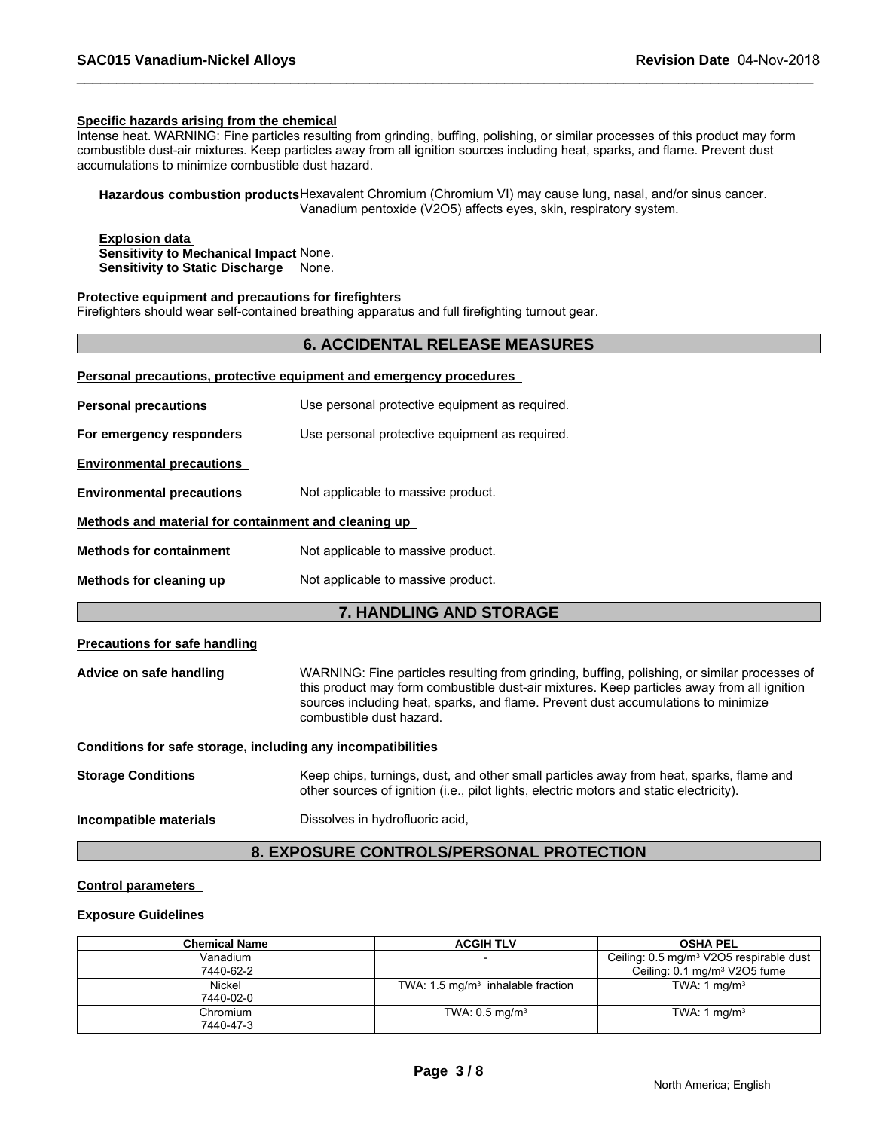#### **Specific hazards arising from the chemical**

Intense heat. WARNING: Fine particles resulting from grinding, buffing, polishing, or similar processes of this product may form combustible dust-air mixtures. Keep particles away from all ignition sources including heat, sparks, and flame. Prevent dust accumulations to minimize combustible dust hazard.

**Hazardous combustion products**Hexavalent Chromium (Chromium VI) may cause lung, nasal, and/or sinus cancer. Vanadium pentoxide (V2O5) affects eyes, skin, respiratory system.

**Explosion data Sensitivity to Mechanical Impact** None. **Sensitivity to Static Discharge** None.

#### **Protective equipment and precautions for firefighters**

Firefighters should wear self-contained breathing apparatus and full firefighting turnout gear.

#### **6. ACCIDENTAL RELEASE MEASURES**

|                                                              | Personal precautions, protective equipment and emergency procedures                                                                                                                                                                                                                                         |
|--------------------------------------------------------------|-------------------------------------------------------------------------------------------------------------------------------------------------------------------------------------------------------------------------------------------------------------------------------------------------------------|
| <b>Personal precautions</b>                                  | Use personal protective equipment as required.                                                                                                                                                                                                                                                              |
| For emergency responders                                     | Use personal protective equipment as required.                                                                                                                                                                                                                                                              |
| <b>Environmental precautions</b>                             |                                                                                                                                                                                                                                                                                                             |
| <b>Environmental precautions</b>                             | Not applicable to massive product.                                                                                                                                                                                                                                                                          |
| Methods and material for containment and cleaning up         |                                                                                                                                                                                                                                                                                                             |
| <b>Methods for containment</b>                               | Not applicable to massive product.                                                                                                                                                                                                                                                                          |
| Methods for cleaning up                                      | Not applicable to massive product.                                                                                                                                                                                                                                                                          |
|                                                              | 7. HANDLING AND STORAGE                                                                                                                                                                                                                                                                                     |
| Precautions for safe handling                                |                                                                                                                                                                                                                                                                                                             |
| Advice on safe handling                                      | WARNING: Fine particles resulting from grinding, buffing, polishing, or similar processes of<br>this product may form combustible dust-air mixtures. Keep particles away from all ignition<br>sources including heat, sparks, and flame. Prevent dust accumulations to minimize<br>combustible dust hazard. |
| Conditions for safe storage, including any incompatibilities |                                                                                                                                                                                                                                                                                                             |
| <b>Storage Conditions</b>                                    | Keep chips, turnings, dust, and other small particles away from heat, sparks, flame and<br>other sources of ignition (i.e., pilot lights, electric motors and static electricity).                                                                                                                          |
| Incompatible materials                                       | Dissolves in hydrofluoric acid,                                                                                                                                                                                                                                                                             |
|                                                              |                                                                                                                                                                                                                                                                                                             |

#### **8. EXPOSURE CONTROLS/PERSONAL PROTECTION**

#### **Control parameters**

#### **Exposure Guidelines**

| <b>Chemical Name</b>  | <b>ACGIH TLV</b>                             | <b>OSHA PEL</b>                                                                                 |
|-----------------------|----------------------------------------------|-------------------------------------------------------------------------------------------------|
| Vanadium<br>7440-62-2 |                                              | Ceiling: 0.5 mg/m <sup>3</sup> V2O5 respirable dust<br>Ceiling: 0.1 mg/m <sup>3</sup> V2O5 fume |
| Nickel<br>7440-02-0   | TWA: $1.5 \text{ mg/m}^3$ inhalable fraction | TWA: $1 \text{ mg/m}^3$                                                                         |
| Chromium<br>7440-47-3 | TWA: $0.5$ mg/m <sup>3</sup>                 | TWA: 1 mg/m <sup>3</sup>                                                                        |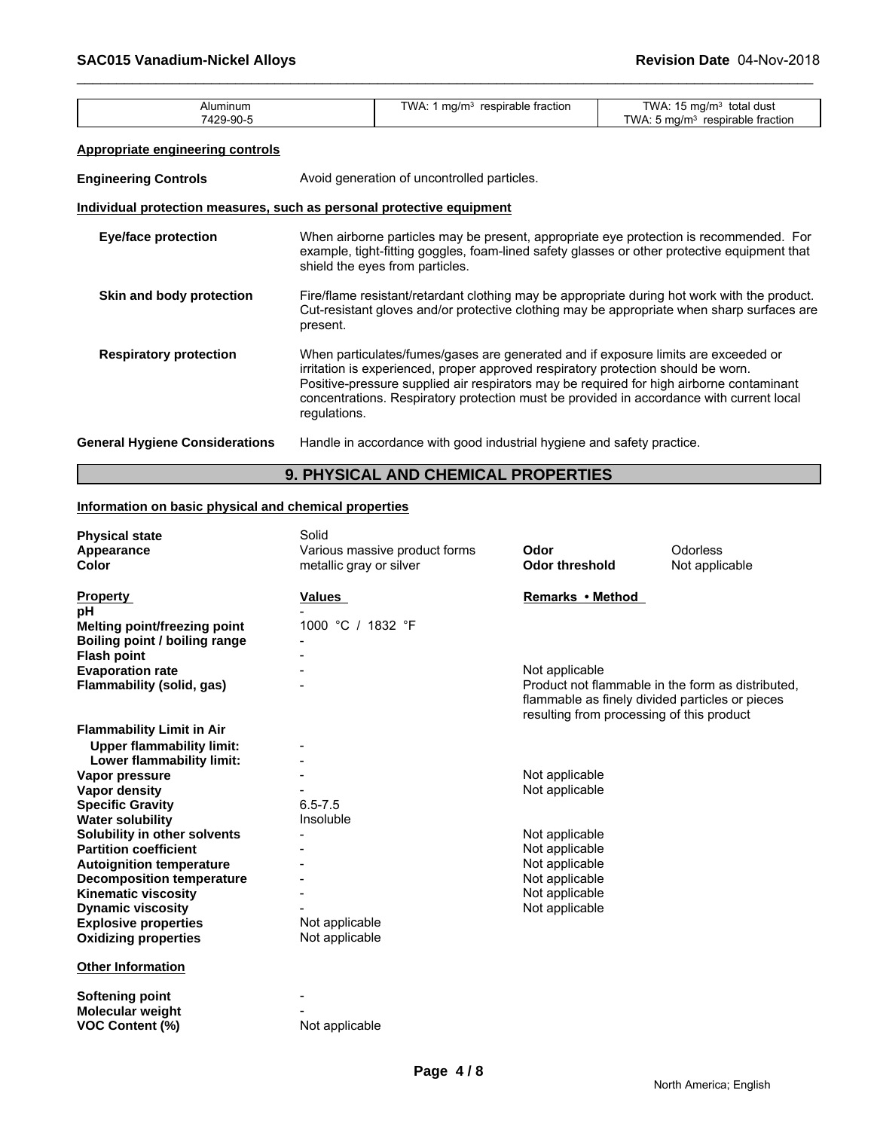| TWA.<br>TWA.<br>Alumınum<br>ma/m<br>respirable fraction<br>⇒ma/m ل<br>total dust<br>. .<br>. .<br>$\sim$<br>129-90-5<br>100<br>TWA<br>respirable fraction<br>ma/m<br>s. |
|-------------------------------------------------------------------------------------------------------------------------------------------------------------------------|
|-------------------------------------------------------------------------------------------------------------------------------------------------------------------------|

#### **Appropriate engineering controls**

| <b>Engineering Controls</b>                                           | Avoid generation of uncontrolled particles.                                                                                                                                                                                                                                                                                                                                     |  |  |  |
|-----------------------------------------------------------------------|---------------------------------------------------------------------------------------------------------------------------------------------------------------------------------------------------------------------------------------------------------------------------------------------------------------------------------------------------------------------------------|--|--|--|
| Individual protection measures, such as personal protective equipment |                                                                                                                                                                                                                                                                                                                                                                                 |  |  |  |
| <b>Eye/face protection</b>                                            | When airborne particles may be present, appropriate eye protection is recommended. For<br>example, tight-fitting goggles, foam-lined safety glasses or other protective equipment that<br>shield the eyes from particles.                                                                                                                                                       |  |  |  |
| Skin and body protection                                              | Fire/flame resistant/retardant clothing may be appropriate during hot work with the product.<br>Cut-resistant gloves and/or protective clothing may be appropriate when sharp surfaces are<br>present.                                                                                                                                                                          |  |  |  |
| <b>Respiratory protection</b>                                         | When particulates/fumes/gases are generated and if exposure limits are exceeded or<br>irritation is experienced, proper approved respiratory protection should be worn.<br>Positive-pressure supplied air respirators may be required for high airborne contaminant<br>concentrations. Respiratory protection must be provided in accordance with current local<br>regulations. |  |  |  |
| <b>General Hygiene Considerations</b>                                 | Handle in accordance with good industrial hygiene and safety practice.                                                                                                                                                                                                                                                                                                          |  |  |  |

## **9. PHYSICAL AND CHEMICAL PROPERTIES**

#### **Information on basic physical and chemical properties**

| <b>Physical state</b>            | Solid                         |                                                   |                |
|----------------------------------|-------------------------------|---------------------------------------------------|----------------|
| Appearance                       | Various massive product forms | Odor                                              | Odorless       |
| Color                            | metallic gray or silver       | <b>Odor threshold</b>                             | Not applicable |
|                                  |                               |                                                   |                |
| <b>Property</b>                  | Values                        | Remarks • Method                                  |                |
| pН                               |                               |                                                   |                |
| Melting point/freezing point     | 1000 °C / 1832 °F             |                                                   |                |
| Boiling point / boiling range    |                               |                                                   |                |
| <b>Flash point</b>               |                               |                                                   |                |
| <b>Evaporation rate</b>          |                               | Not applicable                                    |                |
| Flammability (solid, gas)        |                               | Product not flammable in the form as distributed. |                |
|                                  |                               | flammable as finely divided particles or pieces   |                |
|                                  |                               | resulting from processing of this product         |                |
| <b>Flammability Limit in Air</b> |                               |                                                   |                |
| <b>Upper flammability limit:</b> |                               |                                                   |                |
| Lower flammability limit:        |                               |                                                   |                |
| Vapor pressure                   |                               | Not applicable                                    |                |
| Vapor density                    |                               | Not applicable                                    |                |
| <b>Specific Gravity</b>          | $6.5 - 7.5$                   |                                                   |                |
| <b>Water solubility</b>          | Insoluble                     |                                                   |                |
| Solubility in other solvents     |                               | Not applicable                                    |                |
| <b>Partition coefficient</b>     |                               | Not applicable                                    |                |
| <b>Autoignition temperature</b>  |                               | Not applicable                                    |                |
| <b>Decomposition temperature</b> |                               | Not applicable                                    |                |
| <b>Kinematic viscosity</b>       |                               | Not applicable                                    |                |
| <b>Dynamic viscosity</b>         |                               | Not applicable                                    |                |
| <b>Explosive properties</b>      | Not applicable                |                                                   |                |
| <b>Oxidizing properties</b>      | Not applicable                |                                                   |                |
| <b>Other Information</b>         |                               |                                                   |                |
| <b>Softening point</b>           |                               |                                                   |                |
| <b>Molecular weight</b>          |                               |                                                   |                |
| <b>VOC Content (%)</b>           | Not applicable                |                                                   |                |
|                                  |                               |                                                   |                |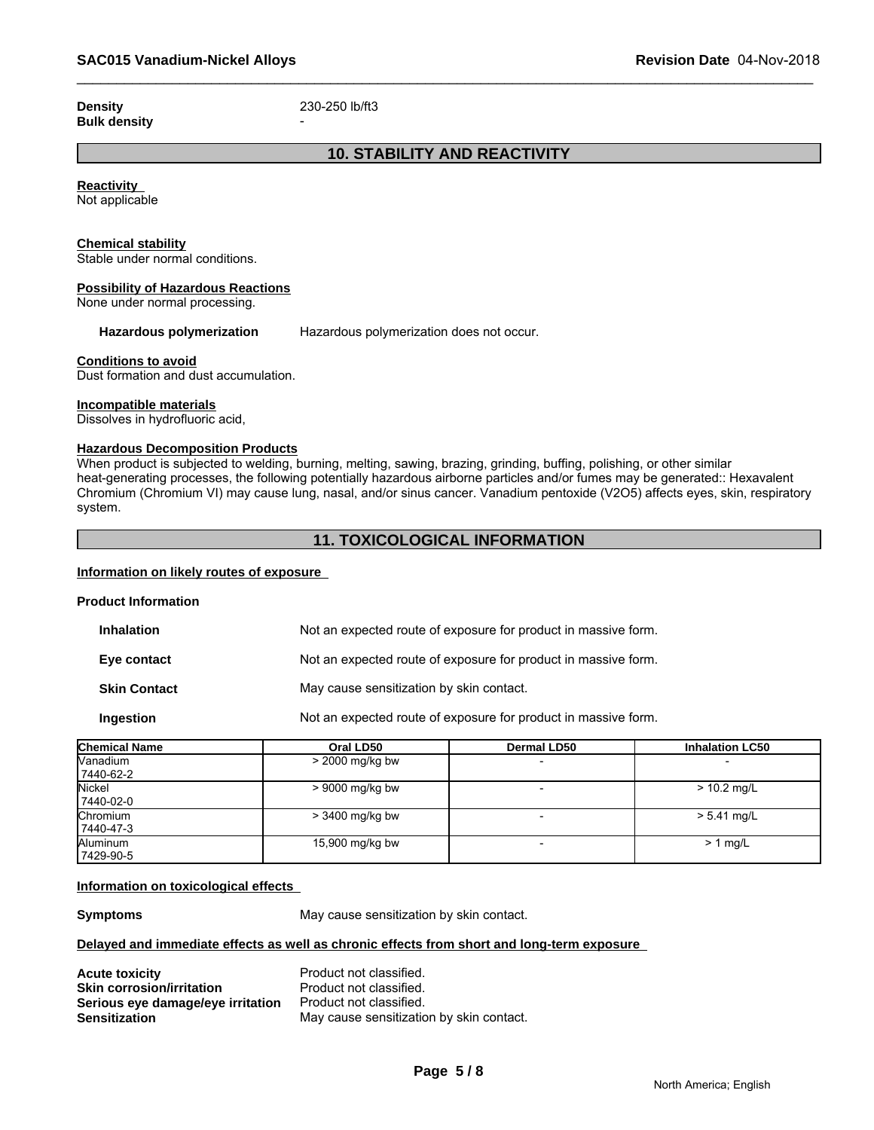**Bulk density** 

**Density** 230-250 lb/ft3

#### **10. STABILITY AND REACTIVITY**

**Reactivity**  Not applicable

#### **Chemical stability**

Stable under normal conditions.

#### **Possibility of Hazardous Reactions**

None under normal processing.

**Hazardous polymerization** Hazardous polymerization does not occur.

#### **Conditions to avoid**

Dust formation and dust accumulation.

#### **Incompatible materials**

Dissolves in hydrofluoric acid,

#### **Hazardous Decomposition Products**

When product is subjected to welding, burning, melting, sawing, brazing, grinding, buffing, polishing, or other similar heat-generating processes, the following potentially hazardous airborne particles and/or fumes may be generated:: Hexavalent Chromium (Chromium VI) may cause lung, nasal, and/or sinus cancer. Vanadium pentoxide (V2O5) affects eyes, skin, respiratory system.

#### **11. TOXICOLOGICAL INFORMATION**

#### **Information on likely routes of exposure**

| <b>Product Information</b> |                                                       |                                                                |                        |
|----------------------------|-------------------------------------------------------|----------------------------------------------------------------|------------------------|
| <b>Inhalation</b>          |                                                       | Not an expected route of exposure for product in massive form. |                        |
| Eye contact                |                                                       | Not an expected route of exposure for product in massive form. |                        |
| <b>Skin Contact</b>        | May cause sensitization by skin contact.              |                                                                |                        |
| Ingestion                  |                                                       | Not an expected route of exposure for product in massive form. |                        |
| <b>Chemical Name</b>       | Oral LD50                                             | Dermal LD50                                                    | <b>Inhalation LC50</b> |
| $N / 2 = 2$                | $\sim$ 0000 $\sim$ $\sim$ $\sim$ $\sim$ $\sim$ $\sim$ |                                                                |                        |

| <b>Nanadium</b><br>7440-62-2 | $>$ 2000 mg/kg bw |               |  |
|------------------------------|-------------------|---------------|--|
| Nickel<br>7440-02-0          | > 9000 mg/kg bw   | $> 10.2$ mg/L |  |
| Chromium<br>7440-47-3        | $>$ 3400 mg/kg bw | $> 5.41$ mg/L |  |
| Aluminum<br>7429-90-5        | 15,900 mg/kg bw   | $> 1$ mg/L    |  |

#### **Information on toxicological effects**

**Symptoms** May cause sensitization by skin contact.

#### **Delayed and immediate effects as well as chronic effects from short and long-term exposure**

**Acute toxicity**<br> **Acute toxicity**<br> **Axin corrosion/irritation**<br> **Product not classified. Skin corrosion/irritation**<br>**Serious eve damage/eve irritation** Product not classified. **Serious eye damage/eye irritation**<br>Sensitization

May cause sensitization by skin contact.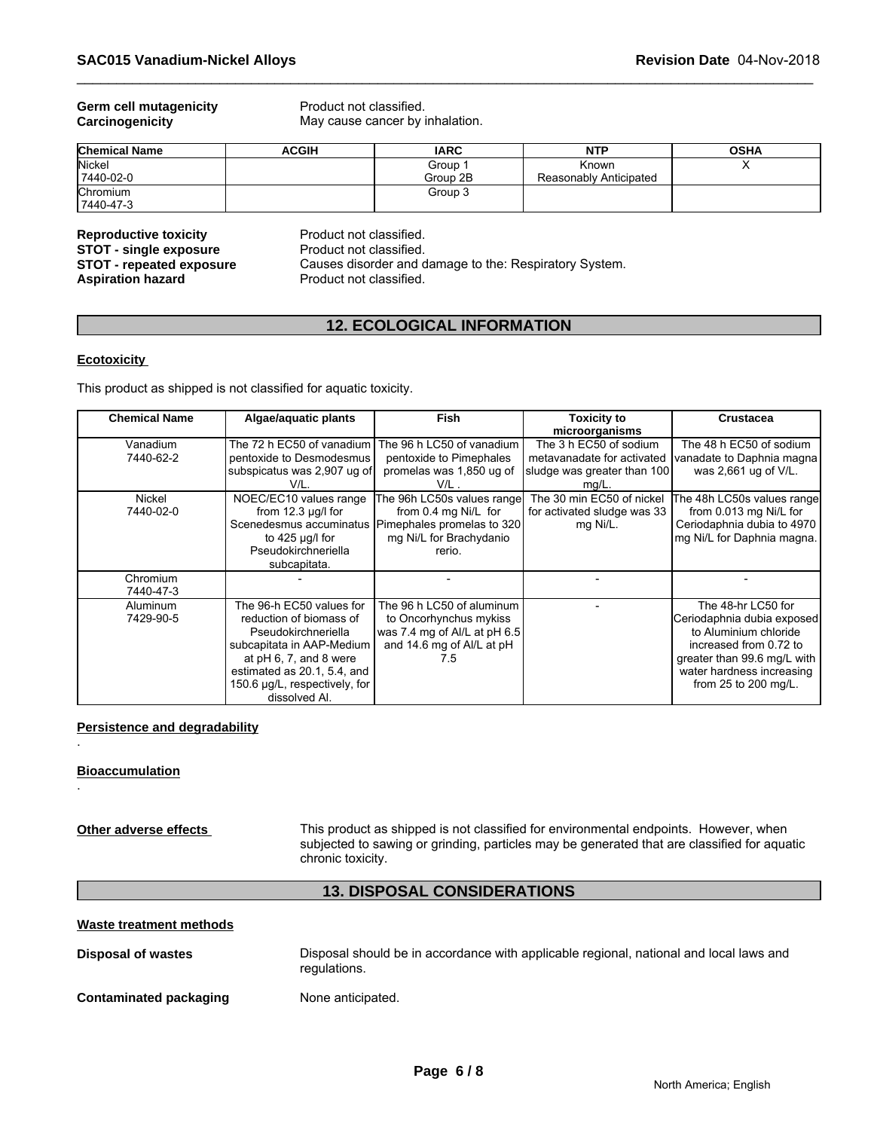## **Germ cell mutagenicity example 3 Product not classified.**<br> **Carcinogenicity May cause cancer by i**

May cause cancer by inhalation.

|  | <b>Revision Date 04-Nov-20</b> |
|--|--------------------------------|
|  |                                |

| <b>Chemical Name</b> | <b>ACGIH</b> | <b>IARC</b> | <b>NTP</b>             | <b>OSHA</b> |
|----------------------|--------------|-------------|------------------------|-------------|
| Nickel               |              | Group       | Known                  | $\cdot$     |
| 7440-02-0            |              | Group 2B    | Reasonably Anticipated |             |
| <b>Chromium</b>      |              | Group 3     |                        |             |
| 7440-47-3            |              |             |                        |             |

**Reproductive toxicity example 3 Reproduct not classified.**<br> **STOT - single exposure** Product not classified. **STOT - single exposure<br>STOT - repeated exposure Aspiration hazard Product not classified.** 

### **12. ECOLOGICAL INFORMATION**

#### **Ecotoxicity**

| <b>INVERVALLED CONTRICT</b><br><b>STOT - single exposure</b><br>Product not classified.<br>Causes disorder and damage to the: Respiratory System.<br><b>STOT - repeated exposure</b><br>Product not classified.<br><b>Aspiration hazard</b> |                                                                                                                                                                                                                      |                                                                                                                                               |                                                                                                 |                                                                                                                                                                                         |  |  |
|---------------------------------------------------------------------------------------------------------------------------------------------------------------------------------------------------------------------------------------------|----------------------------------------------------------------------------------------------------------------------------------------------------------------------------------------------------------------------|-----------------------------------------------------------------------------------------------------------------------------------------------|-------------------------------------------------------------------------------------------------|-----------------------------------------------------------------------------------------------------------------------------------------------------------------------------------------|--|--|
| <b>12. ECOLOGICAL INFORMATION</b>                                                                                                                                                                                                           |                                                                                                                                                                                                                      |                                                                                                                                               |                                                                                                 |                                                                                                                                                                                         |  |  |
| <b>Ecotoxicity</b>                                                                                                                                                                                                                          |                                                                                                                                                                                                                      |                                                                                                                                               |                                                                                                 |                                                                                                                                                                                         |  |  |
|                                                                                                                                                                                                                                             | This product as shipped is not classified for aquatic toxicity.                                                                                                                                                      |                                                                                                                                               |                                                                                                 |                                                                                                                                                                                         |  |  |
| <b>Chemical Name</b>                                                                                                                                                                                                                        | Algae/aguatic plants                                                                                                                                                                                                 | <b>Fish</b>                                                                                                                                   | <b>Toxicity to</b><br>microorganisms                                                            | <b>Crustacea</b>                                                                                                                                                                        |  |  |
| Vanadium<br>7440-62-2                                                                                                                                                                                                                       | The 72 h EC50 of vanadium<br>pentoxide to Desmodesmus<br>subspicatus was 2,907 ug of<br>$V/L$ .                                                                                                                      | The 96 h LC50 of vanadium<br>pentoxide to Pimephales<br>promelas was 1,850 ug of<br>$V/L$ .                                                   | The 3 h EC50 of sodium<br>metavanadate for activated<br>sludge was greater than 100<br>$mg/L$ . | The 48 h EC50 of sodium<br>vanadate to Daphnia magna<br>was 2,661 ug of V/L.                                                                                                            |  |  |
| Nickel<br>7440-02-0                                                                                                                                                                                                                         | NOEC/EC10 values range<br>from 12.3 µg/l for<br>to $425 \mu q/l$ for<br>Pseudokirchneriella<br>subcapitata.                                                                                                          | The 96h LC50s values range<br>from 0.4 mg Ni/L for<br>Scenedesmus accuminatus Pimephales promelas to 320<br>mg Ni/L for Brachydanio<br>rerio. | The 30 min EC50 of nickel<br>for activated sludge was 33<br>mg Ni/L.                            | The 48h LC50s values range<br>from 0.013 mg Ni/L for<br>Ceriodaphnia dubia to 4970<br>mg Ni/L for Daphnia magna.                                                                        |  |  |
| Chromium<br>7440-47-3                                                                                                                                                                                                                       |                                                                                                                                                                                                                      |                                                                                                                                               |                                                                                                 |                                                                                                                                                                                         |  |  |
| Aluminum<br>7429-90-5                                                                                                                                                                                                                       | The 96-h EC50 values for<br>reduction of biomass of<br>Pseudokirchneriella<br>subcapitata in AAP-Medium<br>at $pH$ 6, 7, and 8 were<br>estimated as 20.1, 5.4, and<br>150.6 µg/L, respectively, for<br>dissolved Al. | The 96 h LC50 of aluminum<br>to Oncorhynchus mykiss<br>was 7.4 mg of Al/L at pH 6.5<br>and 14.6 mg of Al/L at pH<br>7.5                       |                                                                                                 | The 48-hr LC50 for<br>Ceriodaphnia dubia exposed<br>to Aluminium chloride<br>increased from 0.72 to<br>greater than 99.6 mg/L with<br>water hardness increasing<br>from 25 to 200 mg/L. |  |  |

#### **Persistence and degradability**

#### **Bioaccumulation**

.

.

**Other adverse effects** This product as shipped is not classified for environmental endpoints. However, when subjected to sawing or grinding, particles may be generated that are classified for aquatic chronic toxicity.

#### **13. DISPOSAL CONSIDERATIONS**

| Waste treatment methods |                                                                                                        |
|-------------------------|--------------------------------------------------------------------------------------------------------|
| Disposal of wastes      | Disposal should be in accordance with applicable regional, national and local laws and<br>regulations. |
| Contaminated packaging  | None anticipated.                                                                                      |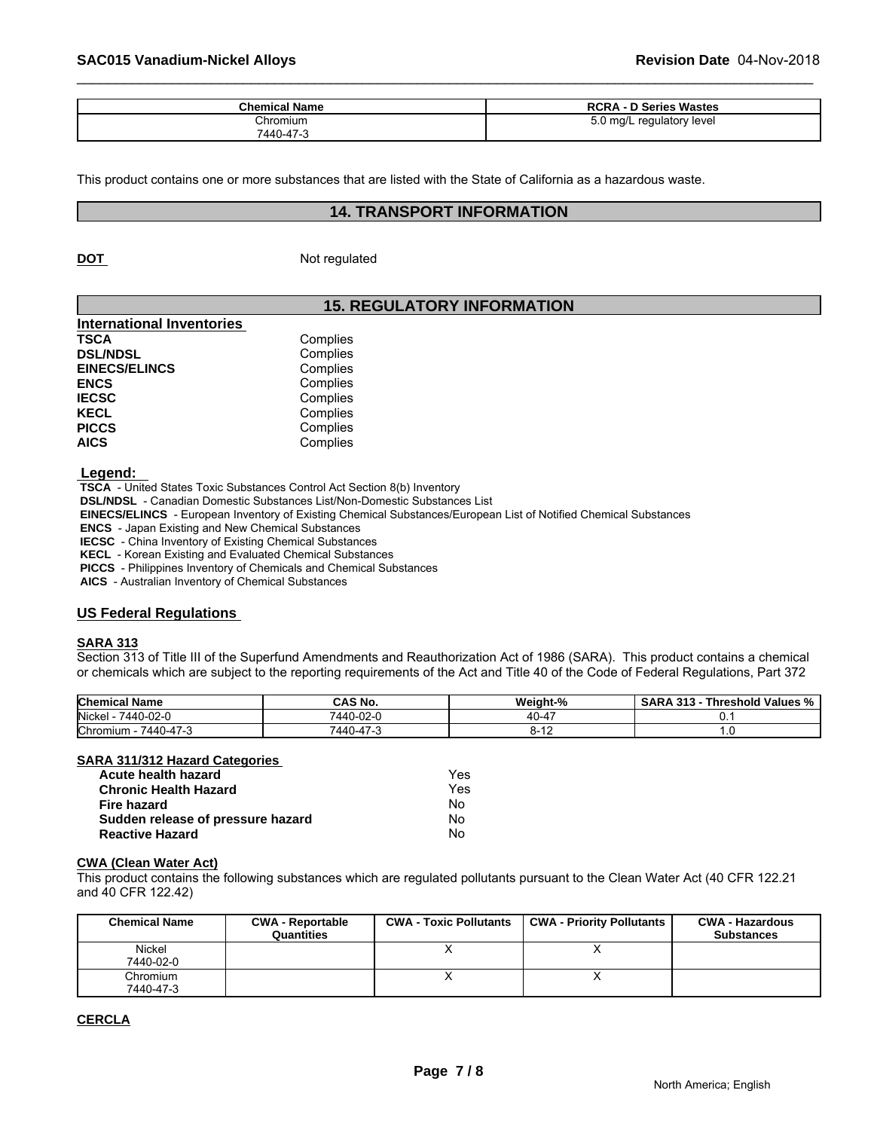| <b>Chemical Name</b> | <b>RCRA - D Series Wastes</b> |
|----------------------|-------------------------------|
| Chromium             | 5.0 mg/L regulatory level     |
| 7440-47-3            |                               |

This product contains one or more substances that are listed with the State of California as a hazardous waste.

#### **14. TRANSPORT INFORMATION**

**DOT** Not regulated

#### **15. REGULATORY INFORMATION**

| <b>International Inventories</b> |          |
|----------------------------------|----------|
| <b>TSCA</b>                      | Complies |
| <b>DSL/NDSL</b>                  | Complies |
| <b>EINECS/ELINCS</b>             | Complies |
| <b>ENCS</b>                      | Complies |
| <b>IECSC</b>                     | Complies |
| <b>KECL</b>                      | Complies |
| <b>PICCS</b>                     | Complies |
| <b>AICS</b>                      | Complies |

#### **Legend:**

 **TSCA** - United States Toxic Substances Control Act Section 8(b) Inventory

 **DSL/NDSL** - Canadian Domestic Substances List/Non-Domestic Substances List

 **EINECS/ELINCS** - European Inventory of Existing Chemical Substances/European List of Notified Chemical Substances

 **ENCS** - Japan Existing and New Chemical Substances

 **IECSC** - China Inventory of Existing Chemical Substances

 **KECL** - Korean Existing and Evaluated Chemical Substances

 **PICCS** - Philippines Inventory of Chemicals and Chemical Substances

 **AICS** - Australian Inventory of Chemical Substances

#### **US Federal Regulations**

#### **SARA 313**

Section 313 of Title III of the Superfund Amendments and Reauthorization Act of 1986 (SARA). This product contains a chemical or chemicals which are subject to the reporting requirements of the Act and Title 40 of the Code of Federal Regulations, Part 372

| <b>Chemical Name</b>        | <b>CAS No.</b>                   | Weight-5<br>$-10$<br>- 70 | <b></b><br>.<br><br>Threshold Values %<br>SARA<br>. ა . ა |
|-----------------------------|----------------------------------|---------------------------|-----------------------------------------------------------|
| 7440-02-0<br>Nickel         | 7440-02-ر                        | $\cdot$<br>41<br>τ∪       |                                                           |
| <b>Chromium</b><br>-7440-47 | $\overline{A}$<br>7440-4.<br>. ט |                           | $\cdots$                                                  |

#### **SARA 311/312 Hazard Categories**

| Acute health hazard               | Yes |  |
|-----------------------------------|-----|--|
| Chronic Health Hazard             | Yes |  |
| Fire hazard                       | Nο  |  |
| Sudden release of pressure hazard | No. |  |
| Reactive Hazard                   | No  |  |

#### **CWA (Clean Water Act)**

| Acute health hazard               |                                              | Yes                           |                                                                                                                              |                                             |
|-----------------------------------|----------------------------------------------|-------------------------------|------------------------------------------------------------------------------------------------------------------------------|---------------------------------------------|
| <b>Chronic Health Hazard</b>      |                                              | Yes                           |                                                                                                                              |                                             |
| <b>Fire hazard</b>                |                                              | No                            |                                                                                                                              |                                             |
| Sudden release of pressure hazard |                                              | No                            |                                                                                                                              |                                             |
| <b>Reactive Hazard</b>            |                                              | No.                           |                                                                                                                              |                                             |
| <b>CWA (Clean Water Act)</b>      |                                              |                               | This product contains the following substances which are regulated pollutants pursuant to the Clean Water Act (40 CFR 122.21 |                                             |
| and 40 CFR 122.42)                |                                              |                               |                                                                                                                              |                                             |
| <b>Chemical Name</b>              | <b>CWA - Reportable</b><br><b>Quantities</b> | <b>CWA - Toxic Pollutants</b> | <b>CWA - Priority Pollutants</b>                                                                                             | <b>CWA - Hazardous</b><br><b>Substances</b> |
| Nickel                            |                                              | x                             | X                                                                                                                            |                                             |
| 7440-02-0                         |                                              |                               |                                                                                                                              |                                             |
| Chromium<br>7440-47-3             |                                              | x                             | X                                                                                                                            |                                             |

**CERCLA**